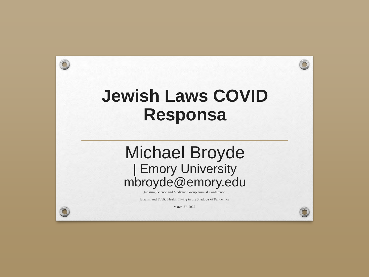## **Jewish Laws COVID Responsa**

 $\bigcap$ 

## Michael Broyde | Emory University mbroyde@emory.edu

Judaism, Science and Medicine Group Annual Conference

Judaism and Public Health: Living in the Shadows of Pandemics

March 27, 2022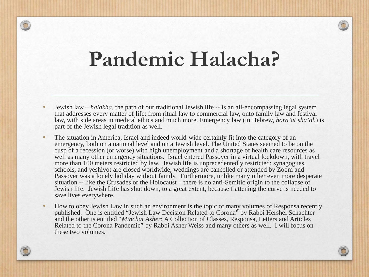# **Pandemic Halacha?**

- Jewish law *halakha*, the path of our traditional Jewish life -- is an all-encompassing legal system that addresses every matter of life: from ritual law to commercial law, onto family law and festival law, with side areas in medical ethics and much more. Emergency law (in Hebrew, *hora'at sha'ah*) is part of the Jewish legal tradition as well.
- The situation in America, Israel and indeed world-wide certainly fit into the category of an emergency, both on a national level and on a Jewish level. The United States seemed to be on the cusp of a recession (or worse) with high unemployment and a shortage of health care resources as well as many other emergency situations. Israel entered Passover in a virtual lockdown, with travel more than 100 meters restricted by law. Jewish life is unprecedentedly restricted: synagogues, schools, and yeshivot are closed worldwide, weddings are cancelled or attended by Zoom and Passover was a lonely holiday without family. Furthermore, unlike many other even more desperate situation -- like the Crusades or the Holocaust – there is no anti-Semitic origin to the collapse of Jewish life. Jewish Life has shut down, to a great extent, because flattening the curve is needed to save lives everywhere.
- How to obey Jewish Law in such an environment is the topic of many volumes of Responsa recently published. One is entitled "Jewish Law Decision Related to Corona" by Rabbi Hershel Schachter and the other is entitled "*Minchat Asher*: A Collection of Classes, Responsa, Letters and Articles Related to the Corona Pandemic" by Rabbi Asher Weiss and many others as well. I will focus on these two volumes.

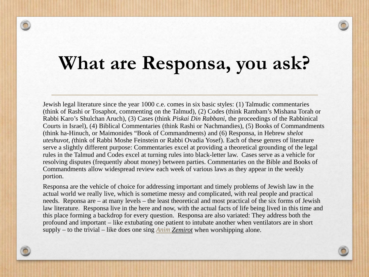# **What are Responsa, you ask?**

Jewish legal literature since the year 1000 c.e. comes in six basic styles: (1) Talmudic commentaries (think of Rashi or Tosaphot, commenting on the Talmud), (2) Codes (think Rambam's Mishana Torah or Rabbi Karo's Shulchan Aruch), (3) Cases (think *Piskai Din Rabbani*, the proceedings of the Rabbinical Courts in Israel), (4) Biblical Commentaries (think Rashi or Nachmandies), (5) Books of Commandments (think ha-Hinuch, or Maimonides "Book of Commandments) and (6) Responsa, in Hebrew *shelot uteshuvot, (*think of Rabbi Moshe Feinstein or Rabbi Ovadia Yosef). Each of these genres of literature serve a slightly different purpose: Commentaries excel at providing a theoretical grounding of the legal rules in the Talmud and Codes excel at turning rules into black-letter law. Cases serve as a vehicle for resolving disputes (frequently about money) between parties. Commentaries on the Bible and Books of Commandments allow widespread review each week of various laws as they appear in the weekly portion.

Responsa are the vehicle of choice for addressing important and timely problems of Jewish law in the actual world we really live, which is sometime messy and complicated, with real people and practical needs. Reponsa are – at many levels – the least theoretical and most practical of the six forms of Jewish law literature. Responsa live in the here and now, with the actual facts of life being lived in this time and this place forming a backdrop for every question. Responsa are also variated: They address both the profound and important – like extubating one patient to intubate another when ventilators are in short supply – to the trivial – like does one sing *Anim [Zemirot](https://en.wikipedia.org/wiki/Anim_Zemirot)* when worshipping alone.

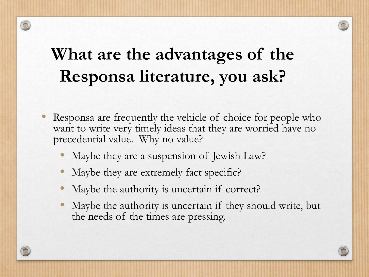# **What are the advantages of the Responsa literature, you ask?**

- Responsa are frequently the vehicle of choice for people who want to write very timely ideas that they are worried have no precedential value. Why no value?
	- Maybe they are a suspension of Jewish Law?
	- Maybe they are extremely fact specific?
	- Maybe the authority is uncertain if correct?
	- Maybe the authority is uncertain if they should write, but the needs of the times are pressing.

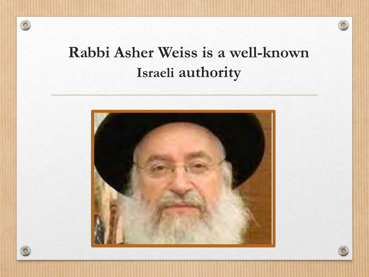





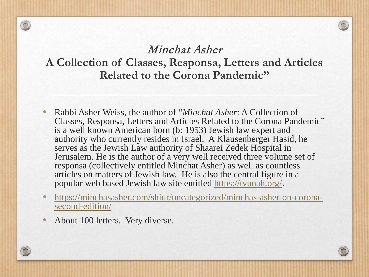#### Minchat Asher **A Collection of Classes, Responsa, Letters and Articles Related to the Corona Pandemic"**

- Rabbi Asher Weiss, the author of "*Minchat Asher*: A Collection of Classes, Responsa, Letters and Articles Related to the Corona Pandemic" is a well known American born (b: 1953) Jewish law expert and authority who currently resides in Israel. A Klausenberger Hasid, he serves as the Jewish Law authority of Shaarei Zedek Hospital in Jerusalem. He is the author of a very well received three volume set of responsa (collectively entitled Minchat Asher) as well as countless articles on matters of Jewish law. He is also the central figure in a popular web based Jewish law site entitled <https://tvunah.org/>.
- [https://minchasasher.com/shiur/uncategorized/minchas-asher-on-corona](https://minchasasher.com/shiur/uncategorized/minchas-asher-on-corona-second-edition/)second-edition/
- About 100 letters. Very diverse.

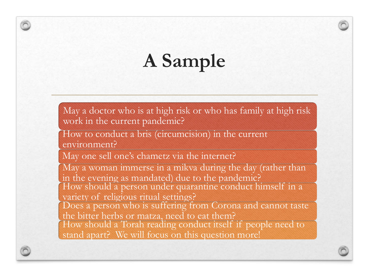# **A Sample**

May a doctor who is at high risk or who has family at high risk work in the current pandemic?

How to conduct a bris (circumcision) in the current environment?

May one sell one's chametz via the internet?

May a woman immerse in a mikva during the day (rather than in the evening as mandated) due to the pandemic? How should a person under quarantine conduct himself in a variety of religious ritual settings? Does a person who is suffering from Corona and cannot taste the bitter herbs or matza, need to eat them? How should a Torah reading conduct itself if people need to stand apart? We will focus on this question more!

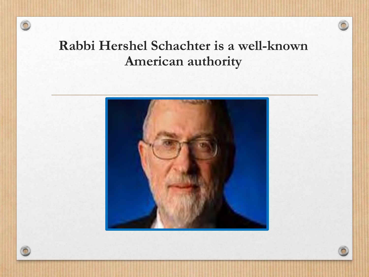## **Rabbi Hershel Schachter is a well-known American authority**





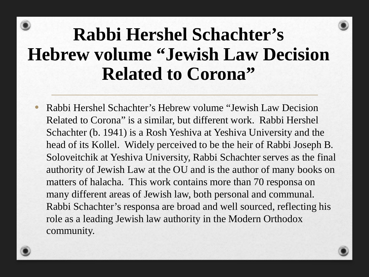# **Rabbi Hershel Schachter's Hebrew volume "Jewish Law Decision Related to Corona"**

• Rabbi Hershel Schachter's Hebrew volume "Jewish Law Decision Related to Corona" is a similar, but different work. Rabbi Hershel Schachter (b. 1941) is a Rosh Yeshiva at Yeshiva University and the head of its Kollel. Widely perceived to be the heir of Rabbi Joseph B. Soloveitchik at Yeshiva University, Rabbi Schachter serves as the final authority of Jewish Law at the OU and is the author of many books on matters of halacha. This work contains more than 70 responsa on many different areas of Jewish law, both personal and communal. Rabbi Schachter's responsa are broad and well sourced, reflecting his role as a leading Jewish law authority in the Modern Orthodox community.

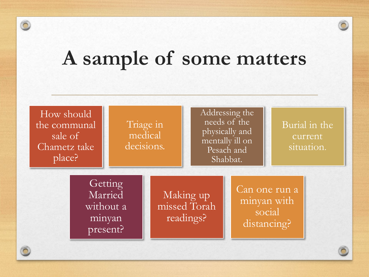# **A sample of some matters**

 $\widehat{\bigcirc}$ 

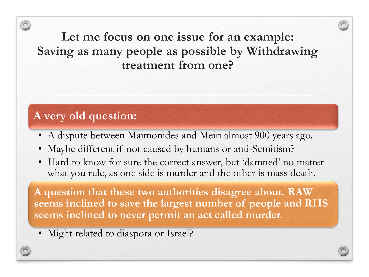**Let me focus on one issue for an example: Saving as many people as possible by Withdrawing treatment from one?**

#### **A very old question:**

- A dispute between Maimonides and Meiri almost 900 years ago.
- Maybe different if not caused by humans or anti-Semitism?
- Hard to know for sure the correct answer, but 'damned' no matter what you rule, as one side is murder and the other is mass death.

**A question that these two authorities disagree about. RAW seems inclined to save the largest number of people and RHS seems inclined to never permit an act called murder.**

• Might related to diaspora or Israel?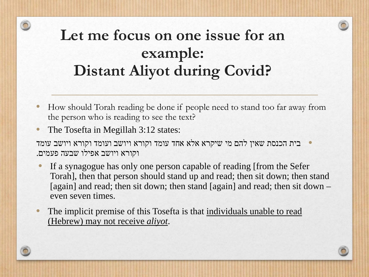## **Let me focus on one issue for an example: Distant Aliyot during Covid?**

- How should Torah reading be done if people need to stand too far away from the person who is reading to see the text?
- The Tosefta in Megillah 3:12 states:
- י בית הכנסת שאין להם מי שיקרא אלא אחד עומד וקורא ויושב ועומד וקורא ויושב עומד נעומד ולחד וקורא ויושב ועומד וקור<br>וקורא ויושב אפילו שבעה פעמים.
	- If a synagogue has only one person capable of reading [from the Sefer] Torah], then that person should stand up and read; then sit down; then stand [again] and read; then sit down; then stand [again] and read; then sit down – even seven times.
- The implicit premise of this Tosefta is that individuals unable to read (Hebrew) may not receive *aliyot*.

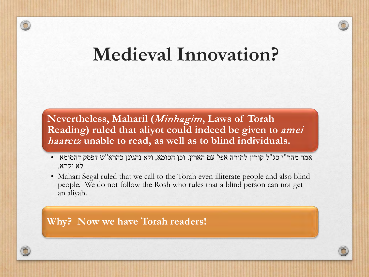## **Medieval Innovation?**

**Nevertheless, Maharil (**Minhagim**, Laws of Torah Reading) ruled that aliyot could indeed be given to** amei haaretz **unable to read, as well as to blind individuals.** 

- אמר מהר"י סג"ל קורין לתורה אפי' עם הארץ. וכן הסומא, ולא נהגינן כהרא"ש דפסק דהסומא לא יקרא.
- Mahari Segal ruled that we call to the Torah even illiterate people and also blind people. We do not follow the Rosh who rules that a blind person can not get an aliyah.

**Why? Now we have Torah readers!**

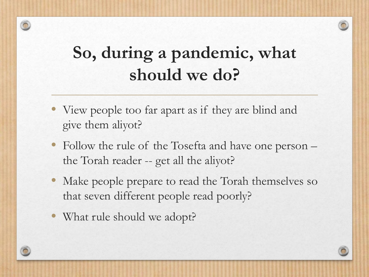# **So, during a pandemic, what should we do?**

- View people too far apart as if they are blind and give them aliyot?
- Follow the rule of the Tosefta and have one person the Torah reader -- get all the aliyot?
- Make people prepare to read the Torah themselves so that seven different people read poorly?
- What rule should we adopt?

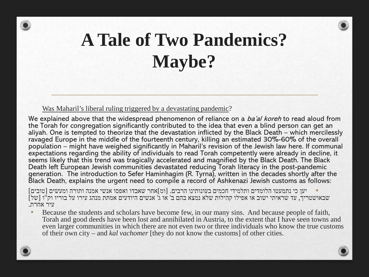# **A Tale of Two Pandemics? Maybe?**

#### Was Maharil's liberal ruling triggered by a devastating pandemic?

We explained above that the widespread phenomenon of reliance on a ba'al koreh to read aloud from the Torah for congregation significantly contributed to the idea that even a blind person can get an aliyah. One is tempted to theorize that the devastation inflicted by the Black Death – which mercilessly ravaged Europe in the middle of the fourteenth century, killing an estimated 30%-60% of the overall population – might have weighed significantly in Maharil's revision of the Jewish law here. If communal expectations regarding the ability of individuals to read Torah competently were already in decline, it seems likely that this trend was tragically accelerated and magnified by the Black Death. The Black Death left European Jewish communities devastated reducing Torah literacy in the post-pandemic generation. The introduction to Sefer Haminhagim (R. Tyrna), written in the decades shortly after the Black Death, explains the urgent need to compile a record of Ashkenazi Jewish customs as follows:

• יען כי נתמעטו הלומדים ותלמידי חכמים בעונותינו הרבים. [ומ]אחר שאבדו ואפסו אנשי אמנה ותורה ומעשים [טובים] [של] שבאושטריך, עד שראיתי ישוב או אפילו קהילות שלא נמצא בהם ב' או ג' אנשים היודעים אמתת מנהג עירו על בוריו וק<br>עיר אחרת.

Because the students and scholars have become few, in our many sins. And because people of faith, Torah and good deeds have been lost and annihilated in Austria, to the extent that I have seen towns and even larger communities in which there are not even two or three individuals who know the true customs of their own city – and *kal vachomer* [they do not know the customs] of other cities.

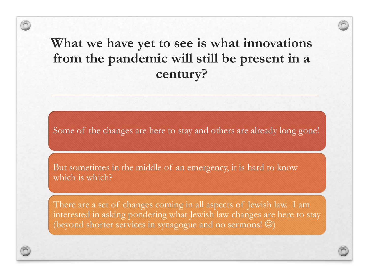### **What we have yet to see is what innovations from the pandemic will still be present in a century?**

Some of the changes are here to stay and others are already long gone!

But sometimes in the middle of an emergency, it is hard to know which is which?

There are a set of changes coming in all aspects of Jewish law. I am interested in asking pondering what Jewish law changes are here to stay (beyond shorter services in synagogue and no sermons! $\circledcirc$ )